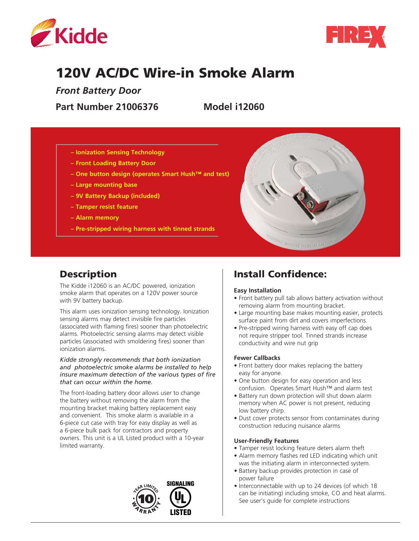



# 120V AC/DC Wire-in Smoke Alarm

*Front Battery Door*

**Part Number 21006376 Model i12060**

- **Ionization Sensing Technology**
- **Front Loading Battery Door**
- **One button design (operates Smart Hush™ and test)**
- **Large mounting base**
- **9V Battery Backup (included)**
- **Tamper resist feature**
- **Alarm memory**
- **Pre-stripped wiring harness with tinned strands**



# Description

The Kidde i12060 is an AC/DC powered, ionization smoke alarm that operates on a 120V power source with 9V battery backup.

This alarm uses ionization sensing technology. Ionization sensing alarms may detect invisible fire particles (associated with flaming fires) sooner than photoelectric alarms. Photoelectric sensing alarms may detect visible particles (associated with smoldering fires) sooner than ionization alarms.

#### *Kidde strongly recommends that both ionization and photoelectric smoke alarms be installed to help insure maximum detection of the various types of fire that can occur within the home.*

The front-loading battery door allows user to change the battery without removing the alarm from the mounting bracket making battery replacement easy and convenient. This smoke alarm is available in a 6-piece cut case with tray for easy display as well as a 6-piece bulk pack for contractors and property owners. This unit is a UL Listed product with a 10-year limited warranty.



# Install Confidence:

#### **Easy Installation**

- Front battery pull tab allows battery activation without removing alarm from mounting bracket.
- Large mounting base makes mounting easier, protects surface paint from dirt and covers imperfections.
- Pre-stripped wiring harness with easy off cap does not require stripper tool. Tinned strands increase conductivity and wire nut grip

#### **Fewer Callbacks**

- Front battery door makes replacing the battery easy for anyone.
- One button design for easy operation and less confusion. Operates Smart Hush™ and alarm test
- Battery run down protection will shut down alarm memory when AC power is not present, reducing low battery chirp.
- Dust cover protects sensor from contaminates during construction reducing nuisance alarms

#### **User-Friendly Features**

- Tamper resist locking feature deters alarm theft
- Alarm memory flashes red LED indicating which unit was the initiating alarm in interconnected system.
- Battery backup provides protection in case of power failure
- Interconnectable with up to 24 devices (of which 18 can be initiating) including smoke, CO and heat alarms. See user's guide for complete instructions